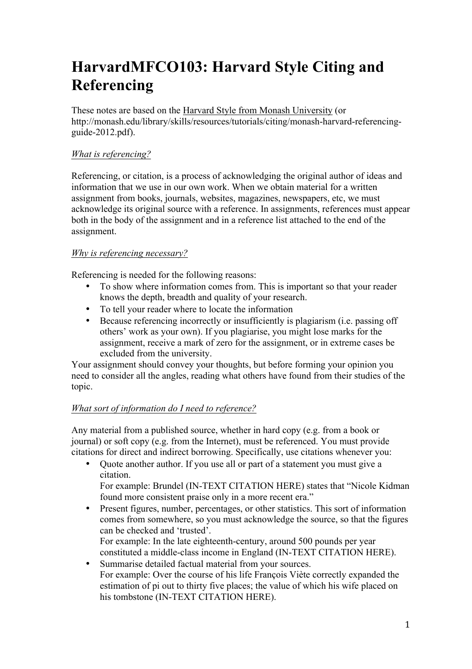# **HarvardMFCO103: Harvard Style Citing and Referencing**

These notes are based on the Harvard Style from Monash University (or http://monash.edu/library/skills/resources/tutorials/citing/monash-harvard-referencingguide-2012.pdf).

# *What is referencing?*

Referencing, or citation, is a process of acknowledging the original author of ideas and information that we use in our own work. When we obtain material for a written assignment from books, journals, websites, magazines, newspapers, etc, we must acknowledge its original source with a reference. In assignments, references must appear both in the body of the assignment and in a reference list attached to the end of the assignment.

# *Why is referencing necessary?*

Referencing is needed for the following reasons:

- To show where information comes from. This is important so that your reader knows the depth, breadth and quality of your research.
- To tell your reader where to locate the information<br>• Because referencing incorrectly or insufficiently is
- Because referencing incorrectly or insufficiently is plagiarism (i.e. passing off others' work as your own). If you plagiarise, you might lose marks for the assignment, receive a mark of zero for the assignment, or in extreme cases be excluded from the university.

Your assignment should convey your thoughts, but before forming your opinion you need to consider all the angles, reading what others have found from their studies of the topic.

# *What sort of information do I need to reference?*

Any material from a published source, whether in hard copy (e.g. from a book or journal) or soft copy (e.g. from the Internet), must be referenced. You must provide citations for direct and indirect borrowing. Specifically, use citations whenever you:

• Quote another author. If you use all or part of a statement you must give a citation.

For example: Brundel (IN-TEXT CITATION HERE) states that "Nicole Kidman found more consistent praise only in a more recent era."

- Present figures, number, percentages, or other statistics. This sort of information comes from somewhere, so you must acknowledge the source, so that the figures can be checked and 'trusted'.
	- For example: In the late eighteenth-century, around 500 pounds per year constituted a middle-class income in England (IN-TEXT CITATION HERE).
- Summarise detailed factual material from your sources. For example: Over the course of his life François Viète correctly expanded the estimation of pi out to thirty five places; the value of which his wife placed on his tombstone (IN-TEXT CITATION HERE).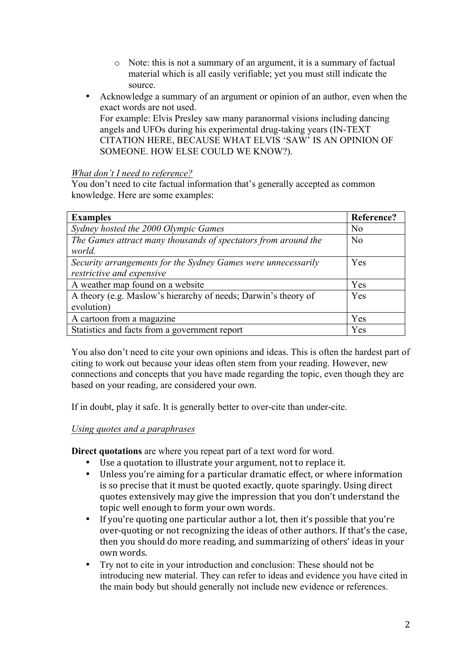- o Note: this is not a summary of an argument, it is a summary of factual material which is all easily verifiable; yet you must still indicate the source.
- Acknowledge a summary of an argument or opinion of an author, even when the exact words are not used.

For example: Elvis Presley saw many paranormal visions including dancing angels and UFOs during his experimental drug-taking years (IN-TEXT CITATION HERE, BECAUSE WHAT ELVIS 'SAW' IS AN OPINION OF SOMEONE. HOW ELSE COULD WE KNOW?).

*What don't I need to reference?* 

You don't need to cite factual information that's generally accepted as common knowledge. Here are some examples:

| <b>Examples</b>                                                | Reference?     |
|----------------------------------------------------------------|----------------|
| Sydney hosted the 2000 Olympic Games                           | No             |
| The Games attract many thousands of spectators from around the | N <sub>0</sub> |
| world.                                                         |                |
| Security arrangements for the Sydney Games were unnecessarily  | Yes            |
| restrictive and expensive                                      |                |
| A weather map found on a website                               | Yes            |
| A theory (e.g. Maslow's hierarchy of needs; Darwin's theory of | Yes            |
| evolution)                                                     |                |
| A cartoon from a magazine                                      | Yes            |
| Statistics and facts from a government report                  | Yes            |

You also don't need to cite your own opinions and ideas. This is often the hardest part of citing to work out because your ideas often stem from your reading. However, new connections and concepts that you have made regarding the topic, even though they are based on your reading, are considered your own.

If in doubt, play it safe. It is generally better to over-cite than under-cite.

# *Using quotes and a paraphrases*

**Direct quotations** are where you repeat part of a text word for word.

- Use a quotation to illustrate your argument, not to replace it.
- Unless you're aiming for a particular dramatic effect, or where information is so precise that it must be quoted exactly, quote sparingly. Using direct quotes extensively may give the impression that you don't understand the topic well enough to form your own words.
- If you're quoting one particular author a lot, then it's possible that you're over-quoting or not recognizing the ideas of other authors. If that's the case, then you should do more reading, and summarizing of others' ideas in your own words.
- Try not to cite in your introduction and conclusion: These should not be introducing new material. They can refer to ideas and evidence you have cited in the main body but should generally not include new evidence or references.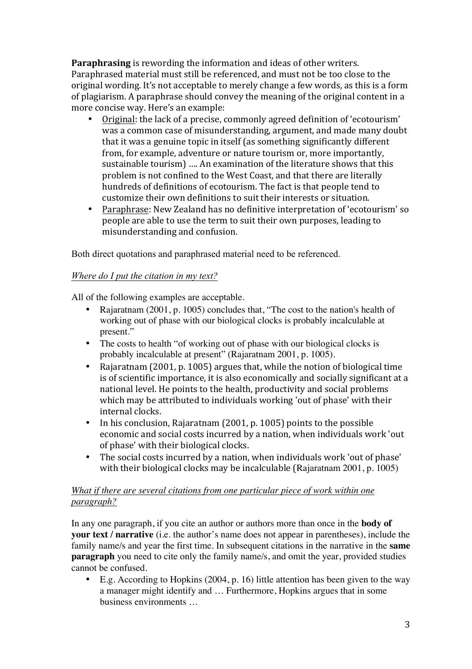**Paraphrasing** is rewording the information and ideas of other writers. Paraphrased material must still be referenced, and must not be too close to the original wording. It's not acceptable to merely change a few words, as this is a form of plagiarism. A paraphrase should convey the meaning of the original content in a more concise way. Here's an example:

- Original: the lack of a precise, commonly agreed definition of 'ecotourism' was a common case of misunderstanding, argument, and made many doubt that it was a genuine topic in itself (as something significantly different from, for example, adventure or nature tourism or, more importantly, sustainable tourism) .... An examination of the literature shows that this problem is not confined to the West Coast, and that there are literally hundreds of definitions of ecotourism. The fact is that people tend to customize their own definitions to suit their interests or situation.
- Paraphrase: New Zealand has no definitive interpretation of 'ecotourism' so people are able to use the term to suit their own purposes, leading to misunderstanding and confusion.

Both direct quotations and paraphrased material need to be referenced.

# *Where do I put the citation in my text?*

All of the following examples are acceptable.

- Rajaratnam (2001, p. 1005) concludes that, "The cost to the nation's health of working out of phase with our biological clocks is probably incalculable at present."
- The costs to health "of working out of phase with our biological clocks is probably incalculable at present" (Rajaratnam 2001, p. 1005).
- Rajaratnam (2001, p. 1005) argues that, while the notion of biological time is of scientific importance, it is also economically and socially significant at a national level. He points to the health, productivity and social problems which may be attributed to individuals working 'out of phase' with their internal clocks.
- In his conclusion, Rajaratnam  $(2001, p. 1005)$  points to the possible economic and social costs incurred by a nation, when individuals work 'out of phase' with their biological clocks.
- The social costs incurred by a nation, when individuals work 'out of phase' with their biological clocks may be incalculable  $(Rajaratnam 2001, p. 1005)$

# *What if there are several citations from one particular piece of work within one paragraph?*

In any one paragraph, if you cite an author or authors more than once in the **body of your text / narrative** (i.e. the author's name does not appear in parentheses), include the family name/s and year the first time. In subsequent citations in the narrative in the **same paragraph** you need to cite only the family name/s, and omit the year, provided studies cannot be confused.

• E.g. According to Hopkins (2004, p. 16) little attention has been given to the way a manager might identify and … Furthermore, Hopkins argues that in some business environments …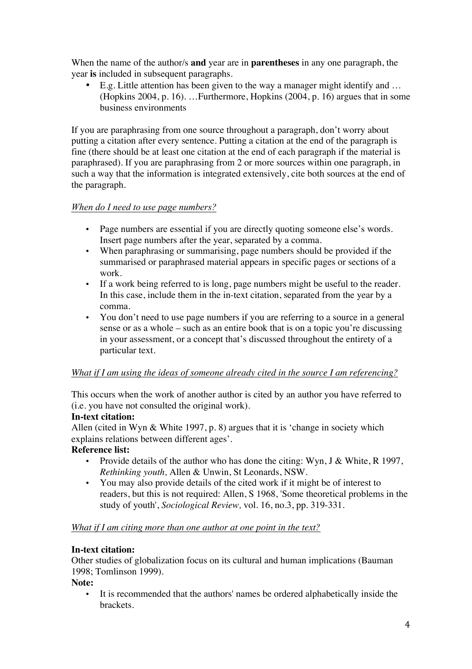When the name of the author/s **and** year are in **parentheses** in any one paragraph, the year **is** included in subsequent paragraphs.

• E.g. Little attention has been given to the way a manager might identify and … (Hopkins 2004, p. 16). …Furthermore, Hopkins (2004, p. 16) argues that in some business environments

If you are paraphrasing from one source throughout a paragraph, don't worry about putting a citation after every sentence. Putting a citation at the end of the paragraph is fine (there should be at least one citation at the end of each paragraph if the material is paraphrased). If you are paraphrasing from 2 or more sources within one paragraph, in such a way that the information is integrated extensively, cite both sources at the end of the paragraph.

# *When do I need to use page numbers?*

- Page numbers are essential if you are directly quoting someone else's words. Insert page numbers after the year, separated by a comma.
- When paraphrasing or summarising, page numbers should be provided if the summarised or paraphrased material appears in specific pages or sections of a work.
- If a work being referred to is long, page numbers might be useful to the reader. In this case, include them in the in-text citation, separated from the year by a comma.
- You don't need to use page numbers if you are referring to a source in a general sense or as a whole – such as an entire book that is on a topic you're discussing in your assessment, or a concept that's discussed throughout the entirety of a particular text.

# *What if I am using the ideas of someone already cited in the source I am referencing?*

This occurs when the work of another author is cited by an author you have referred to (i.e. you have not consulted the original work).

# **In-text citation:**

Allen (cited in Wyn & White 1997, p. 8) argues that it is 'change in society which explains relations between different ages'.

# **Reference list:**

- Provide details of the author who has done the citing: Wyn, J & White, R 1997, *Rethinking youth,* Allen & Unwin, St Leonards, NSW.
- You may also provide details of the cited work if it might be of interest to readers, but this is not required: Allen, S 1968, 'Some theoretical problems in the study of youth', *Sociological Review,* vol. 16, no.3, pp. 319-331.

# *What if I am citing more than one author at one point in the text?*

# **In-text citation:**

Other studies of globalization focus on its cultural and human implications (Bauman 1998; Tomlinson 1999).

**Note:**

• It is recommended that the authors' names be ordered alphabetically inside the brackets.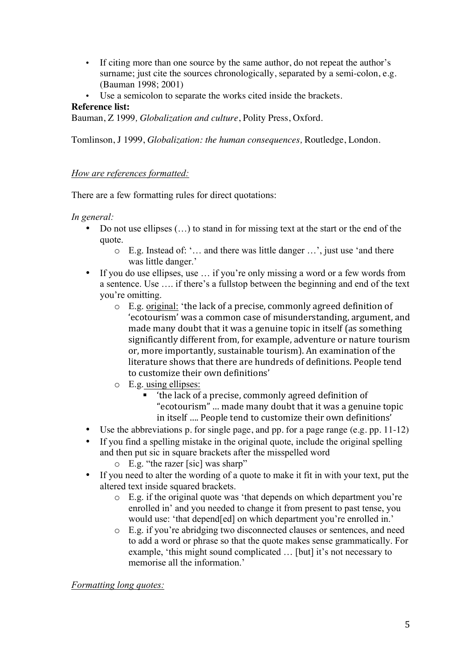- If citing more than one source by the same author, do not repeat the author's surname; just cite the sources chronologically, separated by a semi-colon, e.g. (Bauman 1998; 2001)
- Use a semicolon to separate the works cited inside the brackets.

# **Reference list:**

Bauman, Z 1999*, Globalization and culture*, Polity Press, Oxford.

Tomlinson, J 1999, *Globalization: the human consequences,* Routledge, London.

# *How are references formatted:*

There are a few formatting rules for direct quotations:

# *In general:*

- Do not use ellipses  $(...)$  to stand in for missing text at the start or the end of the quote.
	- o E.g. Instead of: '… and there was little danger …', just use 'and there was little danger.'
- If you do use ellipses, use ... if you're only missing a word or a few words from a sentence. Use …. if there's a fullstop between the beginning and end of the text you're omitting.
	- $\circ$  E.g. original: 'the lack of a precise, commonly agreed definition of 'ecotourism' was a common case of misunderstanding, argument, and made many doubt that it was a genuine topic in itself (as something significantly different from, for example, adventure or nature tourism or, more importantly, sustainable tourism). An examination of the literature shows that there are hundreds of definitions. People tend to customize their own definitions'
	- o E.g. using ellipses:
		- the lack of a precise, commonly agreed definition of "ecotourism" ... made many doubt that it was a genuine topic in itself .... People tend to customize their own definitions'
- Use the abbreviations p. for single page, and pp. for a page range (e.g. pp. 11-12)
- If you find a spelling mistake in the original quote, include the original spelling and then put sic in square brackets after the misspelled word
	- o E.g. "the razer [sic] was sharp"
- If you need to alter the wording of a quote to make it fit in with your text, put the altered text inside squared brackets.
	- o E.g. if the original quote was 'that depends on which department you're enrolled in' and you needed to change it from present to past tense, you would use: 'that depend[ed] on which department you're enrolled in.'
	- o E.g. if you're abridging two disconnected clauses or sentences, and need to add a word or phrase so that the quote makes sense grammatically. For example, 'this might sound complicated … [but] it's not necessary to memorise all the information.'

*Formatting long quotes:*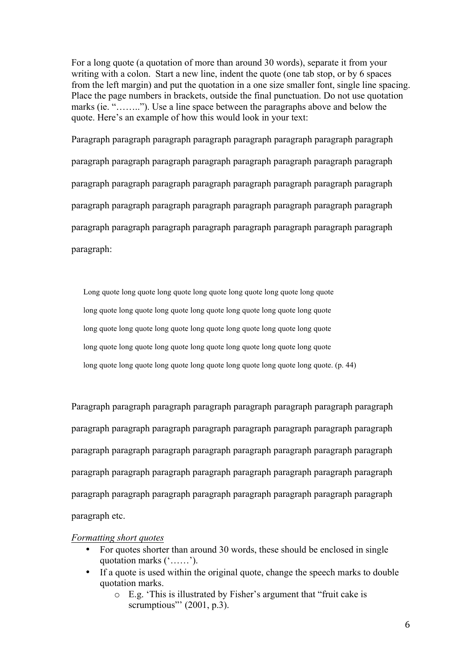For a long quote (a quotation of more than around 30 words), separate it from your writing with a colon. Start a new line, indent the quote (one tab stop, or by 6 spaces from the left margin) and put the quotation in a one size smaller font, single line spacing. Place the page numbers in brackets, outside the final punctuation. Do not use quotation marks (ie. "…….."). Use a line space between the paragraphs above and below the quote. Here's an example of how this would look in your text:

Paragraph paragraph paragraph paragraph paragraph paragraph paragraph paragraph paragraph paragraph paragraph paragraph paragraph paragraph paragraph paragraph paragraph paragraph paragraph paragraph paragraph paragraph paragraph paragraph paragraph paragraph paragraph paragraph paragraph paragraph paragraph paragraph paragraph paragraph paragraph paragraph paragraph paragraph paragraph paragraph paragraph:

 Long quote long quote long quote long quote long quote long quote long quote long quote long quote long quote long quote long quote long quote long quote long quote long quote long quote long quote long quote long quote long quote long quote long quote long quote long quote long quote long quote long quote long quote long quote long quote long quote long quote long quote long quote. (p. 44)

Paragraph paragraph paragraph paragraph paragraph paragraph paragraph paragraph paragraph paragraph paragraph paragraph paragraph paragraph paragraph paragraph paragraph paragraph paragraph paragraph paragraph paragraph paragraph paragraph paragraph paragraph paragraph paragraph paragraph paragraph paragraph paragraph paragraph paragraph paragraph paragraph paragraph paragraph paragraph paragraph paragraph etc.

#### *Formatting short quotes*

- For quotes shorter than around 30 words, these should be enclosed in single quotation marks ('……').
- If a quote is used within the original quote, change the speech marks to double quotation marks.
	- o E.g. 'This is illustrated by Fisher's argument that "fruit cake is scrumptious"'  $(2001, p.3)$ .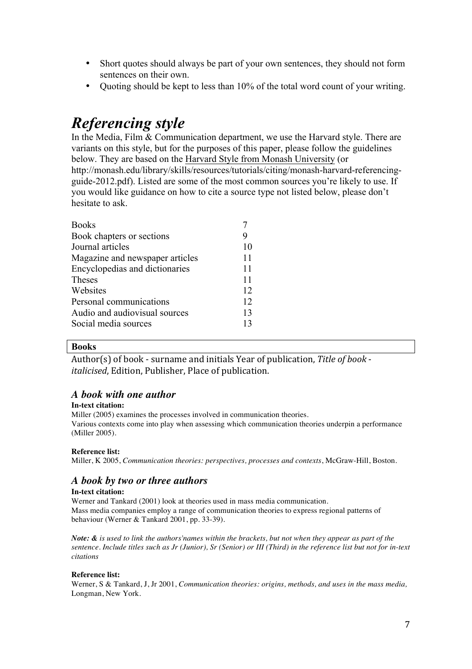- Short quotes should always be part of your own sentences, they should not form sentences on their own.
- Quoting should be kept to less than 10% of the total word count of your writing.

# *Referencing style*

In the Media, Film & Communication department, we use the Harvard style. There are variants on this style, but for the purposes of this paper, please follow the guidelines below. They are based on the Harvard Style from Monash University (or http://monash.edu/library/skills/resources/tutorials/citing/monash-harvard-referencingguide-2012.pdf). Listed are some of the most common sources you're likely to use. If you would like guidance on how to cite a source type not listed below, please don't hesitate to ask.

| <b>Books</b>                    |    |
|---------------------------------|----|
| Book chapters or sections       |    |
| Journal articles                | 10 |
| Magazine and newspaper articles | 11 |
| Encyclopedias and dictionaries  | 11 |
| Theses                          | 11 |
| Websites                        | 12 |
| Personal communications         | 12 |
| Audio and audiovisual sources   | 13 |
| Social media sources            | 13 |
|                                 |    |

#### **Books**

Author(s) of book - surname and initials Year of publication, Title of book *italicised*, Edition, Publisher, Place of publication.

# *A book with one author*

#### **In-text citation:**

Miller (2005) examines the processes involved in communication theories. Various contexts come into play when assessing which communication theories underpin a performance (Miller 2005).

#### **Reference list:**

Miller, K 2005, *Communication theories: perspectives, processes and contexts*, McGraw-Hill, Boston.

# *A book by two or three authors*

#### **In-text citation:**

Werner and Tankard (2001) look at theories used in mass media communication. Mass media companies employ a range of communication theories to express regional patterns of behaviour (Werner & Tankard 2001, pp. 33-39).

*Note: & is used to link the authors'names within the brackets, but not when they appear as part of the sentence. Include titles such as Jr (Junior), Sr (Senior) or III (Third) in the reference list but not for in-text citations*

#### **Reference list:**

Werner, S & Tankard, J, Jr 2001, *Communication theories: origins, methods, and uses in the mass media,* Longman, New York.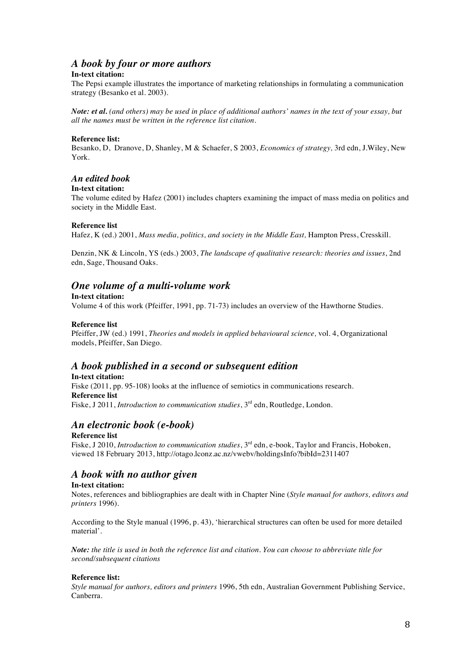# *A book by four or more authors*

#### **In-text citation:**

The Pepsi example illustrates the importance of marketing relationships in formulating a communication strategy (Besanko et al. 2003).

*Note: et al. (and others) may be used in place of additional authors' names in the text of your essay, but all the names must be written in the reference list citation.*

#### **Reference list:**

Besanko, D, Dranove, D, Shanley, M & Schaefer, S 2003, *Economics of strategy,* 3rd edn, J.Wiley, New York.

### *An edited book*

#### **In-text citation:**

The volume edited by Hafez (2001) includes chapters examining the impact of mass media on politics and society in the Middle East.

#### **Reference list**

Hafez, K (ed.) 2001, *Mass media, politics, and society in the Middle East,* Hampton Press, Cresskill.

Denzin, NK & Lincoln, YS (eds.) 2003, *The landscape of qualitative research: theories and issues*, 2nd edn, Sage, Thousand Oaks.

# *One volume of a multi-volume work*

#### **In-text citation:**

Volume 4 of this work (Pfeiffer, 1991, pp. 71-73) includes an overview of the Hawthorne Studies.

#### **Reference list**

Pfeiffer, JW (ed.) 1991, *Theories and models in applied behavioural science,* vol. 4, Organizational models, Pfeiffer, San Diego.

# *A book published in a second or subsequent edition*

**In-text citation:** Fiske (2011, pp. 95-108) looks at the influence of semiotics in communications research. **Reference list** Fiske, J 2011, *Introduction to communication studies*, 3<sup>rd</sup> edn, Routledge, London.

# *An electronic book (e-book)*

#### **Reference list**

Fiske, J 2010, *Introduction to communication studies*, 3<sup>rd</sup> edn, e-book, Taylor and Francis, Hoboken, viewed 18 February 2013, http://otago.lconz.ac.nz/vwebv/holdingsInfo?bibId=2311407

# *A book with no author given*

#### **In-text citation:**

Notes, references and bibliographies are dealt with in Chapter Nine (*Style manual for authors, editors and printers* 1996).

According to the Style manual (1996, p. 43), 'hierarchical structures can often be used for more detailed material'.

*Note: the title is used in both the reference list and citation. You can choose to abbreviate title for second/subsequent citations*

#### **Reference list:**

*Style manual for authors, editors and printers* 1996, 5th edn, Australian Government Publishing Service, Canberra.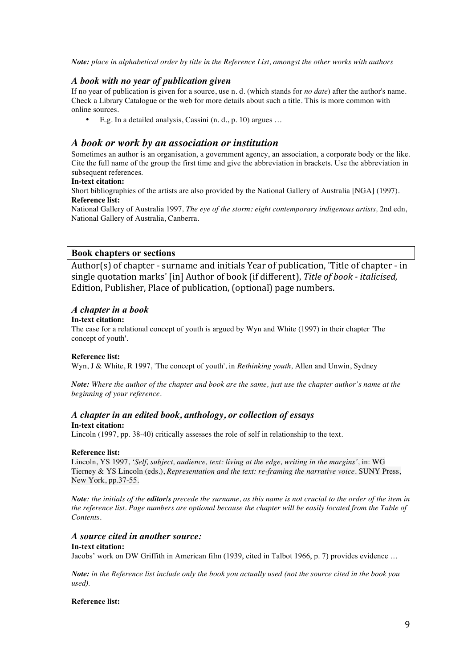*Note: place in alphabetical order by title in the Reference List, amongst the other works with authors*

#### *A book with no year of publication given*

If no year of publication is given for a source, use n. d. (which stands for *no date*) after the author's name. Check a Library Catalogue or the web for more details about such a title. This is more common with online sources.

• E.g. In a detailed analysis, Cassini (n. d., p. 10) argues …

#### *A book or work by an association or institution*

Sometimes an author is an organisation, a government agency, an association, a corporate body or the like. Cite the full name of the group the first time and give the abbreviation in brackets. Use the abbreviation in subsequent references.

#### **In-text citation:**

Short bibliographies of the artists are also provided by the National Gallery of Australia [NGA] (1997). **Reference list:**

National Gallery of Australia 1997*, The eye of the storm: eight contemporary indigenous artists,* 2nd edn, National Gallery of Australia, Canberra.

#### **Book chapters or sections**

Author(s) of chapter - surname and initials Year of publication, 'Title of chapter - in single quotation marks' [in] Author of book (if different), Title of book - *italicised*, Edition, Publisher, Place of publication, (optional) page numbers.

#### *A chapter in a book*

#### **In-text citation:**

The case for a relational concept of youth is argued by Wyn and White (1997) in their chapter 'The concept of youth'.

#### **Reference list:**

Wyn, J & White, R 1997, 'The concept of youth', in *Rethinking youth,* Allen and Unwin, Sydney

*Note: Where the author of the chapter and book are the same, just use the chapter author's name at the beginning of your reference.*

#### *A chapter in an edited book, anthology, or collection of essays* **In-text citation:**

Lincoln (1997, pp. 38-40) critically assesses the role of self in relationship to the text.

#### **Reference list:**

Lincoln, YS 1997, *'Self, subject, audience, text: living at the edge, writing in the margins',* in: WG Tierney & YS Lincoln (eds.), *Representation and the text: re-framing the narrative voice*. SUNY Press, New York, pp.37-55.

*Note: the initials of the editor/s precede the surname, as this name is not crucial to the order of the item in the reference list. Page numbers are optional because the chapter will be easily located from the Table of Contents.*

#### *A source cited in another source:*

#### **In-text citation:**

Jacobs' work on DW Griffith in American film (1939, cited in Talbot 1966, p. 7) provides evidence …

*Note: in the Reference list include only the book you actually used (not the source cited in the book you used).*

#### **Reference list:**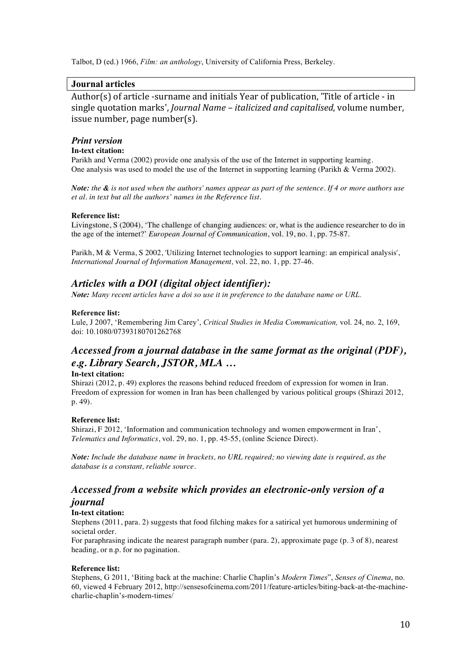Talbot, D (ed.) 1966, *Film: an anthology*, University of California Press, Berkeley.

# **Journal articles**

Author(s) of article -surname and initials Year of publication, 'Title of article - in single quotation marks', *Journal Name – italicized and capitalised*, volume number,  $is sue number, page number(s).$ 

#### *Print version*

### **In-text citation:**

Parikh and Verma (2002) provide one analysis of the use of the Internet in supporting learning. One analysis was used to model the use of the Internet in supporting learning (Parikh & Verma 2002).

*Note: the & is not used when the authors' names appear as part of the sentence. If 4 or more authors use et al. in text but all the authors' names in the Reference list.*

#### **Reference list:**

Livingstone, S (2004), 'The challenge of changing audiences: or, what is the audience researcher to do in the age of the internet?' *European Journal of Communication*, vol. 19, no. 1, pp. 75-87.

Parikh, M & Verma, S 2002, 'Utilizing Internet technologies to support learning: an empirical analysis', *International Journal of Information Management,* vol. 22, no. 1, pp. 27-46.

# *Articles with a DOI (digital object identifier):*

*Note: Many recent articles have a doi so use it in preference to the database name or URL.*

#### **Reference list:**

Lule, J 2007, 'Remembering Jim Carey', *Critical Studies in Media Communication,* vol. 24, no. 2, 169, doi: 10.1080/07393180701262768

# *Accessed from a journal database in the same format as the original (PDF), e.g. Library Search, JSTOR, MLA …*

#### **In-text citation:**

Shirazi (2012, p. 49) explores the reasons behind reduced freedom of expression for women in Iran. Freedom of expression for women in Iran has been challenged by various political groups (Shirazi 2012, p. 49).

#### **Reference list:**

Shirazi, F 2012, 'Information and communication technology and women empowerment in Iran', *Telematics and Informatics*, vol. 29, no. 1, pp. 45-55, (online Science Direct).

*Note: Include the database name in brackets, no URL required; no viewing date is required, as the database is a constant, reliable source.*

# *Accessed from a website which provides an electronic-only version of a journal*

#### **In-text citation:**

Stephens (2011, para. 2) suggests that food filching makes for a satirical yet humorous undermining of societal order.

For paraphrasing indicate the nearest paragraph number (para. 2), approximate page (p. 3 of 8), nearest heading, or n.p. for no pagination.

#### **Reference list:**

Stephens, G 2011, 'Biting back at the machine: Charlie Chaplin's *Modern Times*", *Senses of Cinema*, no. 60, viewed 4 February 2012, http://sensesofcinema.com/2011/feature-articles/biting-back-at-the-machinecharlie-chaplin's-modern-times/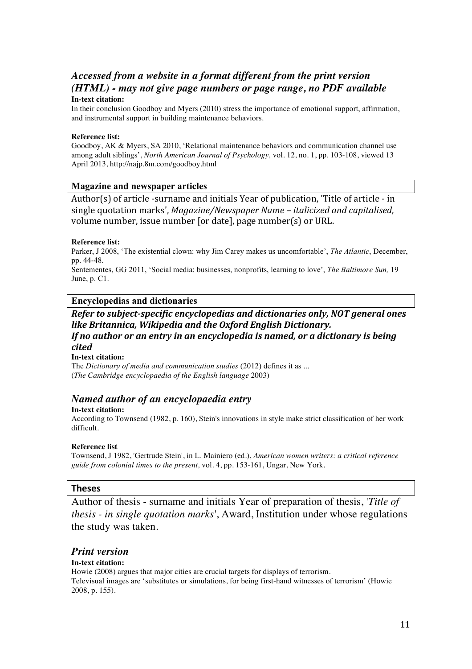# *Accessed from a website in a format different from the print version (HTML) - may not give page numbers or page range, no PDF available*

#### **In-text citation:**

In their conclusion Goodboy and Myers (2010) stress the importance of emotional support, affirmation, and instrumental support in building maintenance behaviors.

#### **Reference list:**

Goodboy, AK & Myers, SA 2010, 'Relational maintenance behaviors and communication channel use among adult siblings', *North American Journal of Psychology,* vol. 12, no. 1, pp. 103-108, viewed 13 April 2013, http://najp.8m.com/goodboy.html

### **Magazine and newspaper articles**

Author(s) of article -surname and initials Year of publication, 'Title of article - in single quotation marks', *Magazine/Newspaper Name* – *italicized and capitalised*, volume number, issue number [or date], page number(s) or URL.

#### **Reference list:**

Parker, J 2008, 'The existential clown: why Jim Carey makes us uncomfortable', *The Atlantic*, December, pp. 44-48.

Sentementes, GG 2011, 'Social media: businesses, nonprofits, learning to love', *The Baltimore Sun,* 19 June, p. C1.

# **Encyclopedias and dictionaries**

# *Refer to subject-specific encyclopedias and dictionaries only, NOT general ones like Britannica, Wikipedia and the Oxford English Dictionary. If no author or an entry in an encyclopedia is named, or a dictionary is being cited*

#### **In-text citation:**

The *Dictionary of media and communication studies* (2012) defines it as ... (*The Cambridge encyclopaedia of the English language* 2003)

# *Named author of an encyclopaedia entry*

#### **In-text citation:**

According to Townsend (1982, p. 160), Stein's innovations in style make strict classification of her work difficult.

#### **Reference list**

Townsend, J 1982, 'Gertrude Stein', in L. Mainiero (ed.), *American women writers: a critical reference guide from colonial times to the present,* vol. 4, pp. 153-161, Ungar, New York.

#### **Theses**

Author of thesis - surname and initials Year of preparation of thesis, *'Title of thesis - in single quotation marks'*, Award, Institution under whose regulations the study was taken.

# *Print version*

#### **In-text citation:**

Howie (2008) argues that major cities are crucial targets for displays of terrorism. Televisual images are 'substitutes or simulations, for being first-hand witnesses of terrorism' (Howie 2008, p. 155).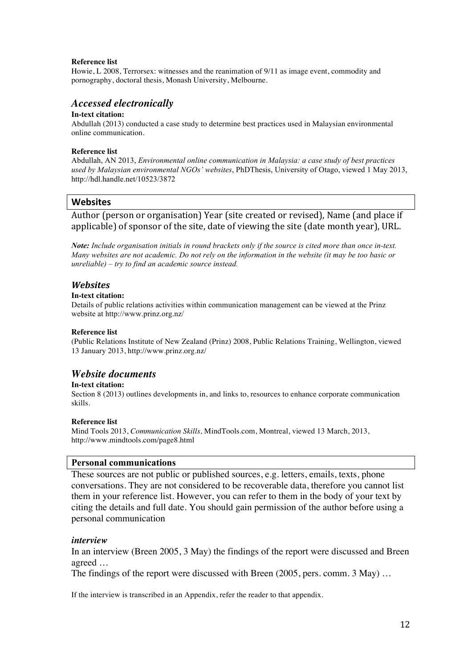#### **Reference list**

Howie, L 2008, Terrorsex: witnesses and the reanimation of 9/11 as image event, commodity and pornography, doctoral thesis, Monash University, Melbourne.

#### *Accessed electronically*

#### **In-text citation:**

Abdullah (2013) conducted a case study to determine best practices used in Malaysian environmental online communication.

#### **Reference list**

Abdullah, AN 2013, *Environmental online communication in Malaysia: a case study of best practices used by Malaysian environmental NGOs' websites*, PhDThesis, University of Otago, viewed 1 May 2013, http://hdl.handle.net/10523/3872

### **Websites**

Author (person or organisation) Year (site created or revised), Name (and place if applicable) of sponsor of the site, date of viewing the site (date month year), URL.

*Note: Include organisation initials in round brackets only if the source is cited more than once in-text. Many websites are not academic. Do not rely on the information in the website (it may be too basic or unreliable) – try to find an academic source instead.*

#### *Websites*

#### **In-text citation:**

Details of public relations activities within communication management can be viewed at the Prinz website at http://www.prinz.org.nz/

#### **Reference list**

(Public Relations Institute of New Zealand (Prinz) 2008, Public Relations Training, Wellington, viewed 13 January 2013, http://www.prinz.org.nz/

# *Website documents*

#### **In-text citation:**

Section 8 (2013) outlines developments in, and links to, resources to enhance corporate communication skills.

#### **Reference list**

Mind Tools 2013, *Communication Skills,* MindTools.com, Montreal, viewed 13 March, 2013, http://www.mindtools.com/page8.html

#### **Personal communications**

These sources are not public or published sources, e.g. letters, emails, texts, phone conversations. They are not considered to be recoverable data, therefore you cannot list them in your reference list. However, you can refer to them in the body of your text by citing the details and full date. You should gain permission of the author before using a personal communication

#### *interview*

In an interview (Breen 2005, 3 May) the findings of the report were discussed and Breen agreed …

The findings of the report were discussed with Breen (2005, pers. comm. 3 May) …

If the interview is transcribed in an Appendix, refer the reader to that appendix.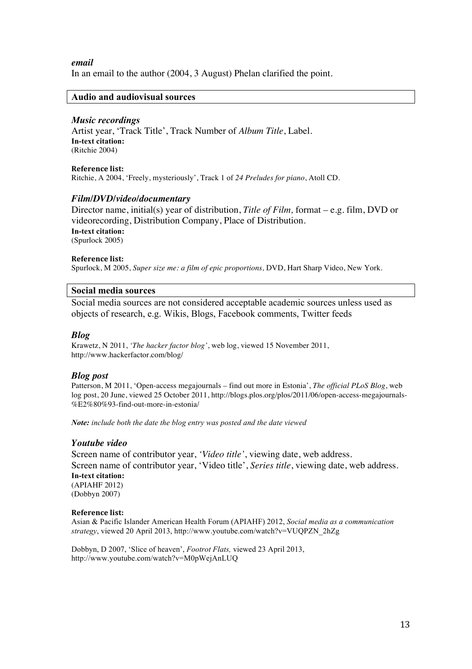*email* 

In an email to the author (2004, 3 August) Phelan clarified the point.

#### **Audio and audiovisual sources**

#### *Music recordings*

Artist year, 'Track Title', Track Number of *Album Title*, Label. **In-text citation:** (Ritchie 2004)

**Reference list:** Ritchie, A 2004, 'Freely, mysteriously', Track 1 of *24 Preludes for piano*, Atoll CD.

#### *Film/DVD/video/documentary*

Director name, initial(s) year of distribution, *Title of Film,* format – e.g. film, DVD or videorecording, Distribution Company, Place of Distribution. **In-text citation:** (Spurlock 2005)

#### **Reference list:**

Spurlock, M 2005, *Super size me: a film of epic proportions,* DVD, Hart Sharp Video, New York.

#### **Social media sources**

Social media sources are not considered acceptable academic sources unless used as objects of research, e.g. Wikis, Blogs, Facebook comments, Twitter feeds

#### *Blog*

Krawetz, N 2011, *'The hacker factor blog'*, web log, viewed 15 November 2011, http://www.hackerfactor.com/blog/

#### *Blog post*

Patterson, M 2011, 'Open-access megajournals – find out more in Estonia', *The official PLoS Blog*, web log post, 20 June, viewed 25 October 2011, http://blogs.plos.org/plos/2011/06/open-access-megajournals- %E2%80%93-find-out-more-in-estonia/

*Note: include both the date the blog entry was posted and the date viewed*

#### *Youtube video*

Screen name of contributor year, *'Video title'*, viewing date, web address. Screen name of contributor year, 'Video title', *Series title*, viewing date, web address. **In-text citation:** (APIAHF 2012) (Dobbyn 2007)

#### **Reference list:**

Asian & Pacific Islander American Health Forum (APIAHF) 2012, *Social media as a communication strategy*, viewed 20 April 2013, http://www.youtube.com/watch?v=VUQPZN\_2hZg

Dobbyn, D 2007, 'Slice of heaven', *Footrot Flats,* viewed 23 April 2013, http://www.youtube.com/watch?v=M0pWejAnLUQ